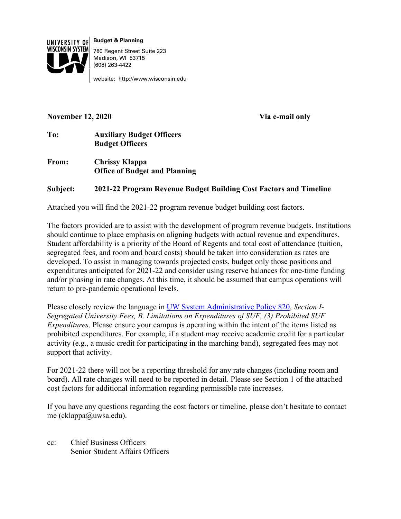

**Budget & Planning** 780 Regent Street Suite 223 Madison, WI 53715 (608) 263-4422

website: http://www.wisconsin.edu

### **November 12, 2020 Via e-mail only**

## **To: Auxiliary Budget Officers Budget Officers**

**From: Chrissy Klappa Office of Budget and Planning**

# **Subject: 2021-22 Program Revenue Budget Building Cost Factors and Timeline**

Attached you will find the 2021-22 program revenue budget building cost factors.

The factors provided are to assist with the development of program revenue budgets. Institutions should continue to place emphasis on aligning budgets with actual revenue and expenditures. Student affordability is a priority of the Board of Regents and total cost of attendance (tuition, segregated fees, and room and board costs) should be taken into consideration as rates are developed. To assist in managing towards projected costs, budget only those positions and expenditures anticipated for 2021-22 and consider using reserve balances for one-time funding and/or phasing in rate changes. At this time, it should be assumed that campus operations will return to pre-pandemic operational levels.

Please closely review the language in [UW System Administrative Policy 820,](https://www.wisconsin.edu/uw-policies/uw-system-administrative-policies/segregated-university-fees/) *Section I-Segregated University Fees, B. Limitations on Expenditures of SUF, (3) Prohibited SUF Expenditures*. Please ensure your campus is operating within the intent of the items listed as prohibited expenditures. For example, if a student may receive academic credit for a particular activity (e.g., a music credit for participating in the marching band), segregated fees may not support that activity.

For 2021-22 there will not be a reporting threshold for any rate changes (including room and board). All rate changes will need to be reported in detail. Please see Section 1 of the attached cost factors for additional information regarding permissible rate increases.

If you have any questions regarding the cost factors or timeline, please don't hesitate to contact me (cklappa@uwsa.edu).

cc: Chief Business Officers Senior Student Affairs Officers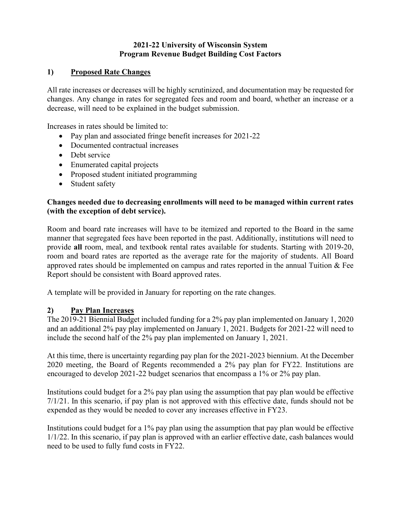## **2021-22 University of Wisconsin System Program Revenue Budget Building Cost Factors**

## **1) Proposed Rate Changes**

All rate increases or decreases will be highly scrutinized, and documentation may be requested for changes. Any change in rates for segregated fees and room and board, whether an increase or a decrease, will need to be explained in the budget submission.

Increases in rates should be limited to:

- Pay plan and associated fringe benefit increases for 2021-22
- Documented contractual increases
- Debt service
- Enumerated capital projects
- Proposed student initiated programming
- Student safety

## **Changes needed due to decreasing enrollments will need to be managed within current rates (with the exception of debt service).**

Room and board rate increases will have to be itemized and reported to the Board in the same manner that segregated fees have been reported in the past. Additionally, institutions will need to provide **all** room, meal, and textbook rental rates available for students. Starting with 2019-20, room and board rates are reported as the average rate for the majority of students. All Board approved rates should be implemented on campus and rates reported in the annual Tuition & Fee Report should be consistent with Board approved rates.

A template will be provided in January for reporting on the rate changes.

### **2) Pay Plan Increases**

The 2019-21 Biennial Budget included funding for a 2% pay plan implemented on January 1, 2020 and an additional 2% pay play implemented on January 1, 2021. Budgets for 2021-22 will need to include the second half of the 2% pay plan implemented on January 1, 2021.

At this time, there is uncertainty regarding pay plan for the 2021-2023 biennium. At the December 2020 meeting, the Board of Regents recommended a 2% pay plan for FY22. Institutions are encouraged to develop 2021-22 budget scenarios that encompass a 1% or 2% pay plan.

Institutions could budget for a 2% pay plan using the assumption that pay plan would be effective 7/1/21. In this scenario, if pay plan is not approved with this effective date, funds should not be expended as they would be needed to cover any increases effective in FY23.

Institutions could budget for a 1% pay plan using the assumption that pay plan would be effective 1/1/22. In this scenario, if pay plan is approved with an earlier effective date, cash balances would need to be used to fully fund costs in FY22.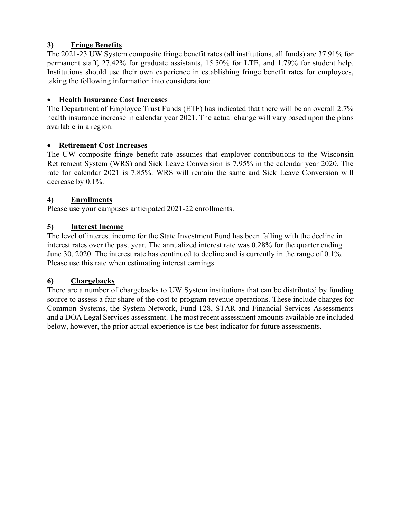# **3) Fringe Benefits**

The 2021-23 UW System composite fringe benefit rates (all institutions, all funds) are 37.91% for permanent staff, 27.42% for graduate assistants, 15.50% for LTE, and 1.79% for student help. Institutions should use their own experience in establishing fringe benefit rates for employees, taking the following information into consideration:

## • **Health Insurance Cost Increases**

The Department of Employee Trust Funds (ETF) has indicated that there will be an overall 2.7% health insurance increase in calendar year 2021. The actual change will vary based upon the plans available in a region.

## • **Retirement Cost Increases**

The UW composite fringe benefit rate assumes that employer contributions to the Wisconsin Retirement System (WRS) and Sick Leave Conversion is 7.95% in the calendar year 2020. The rate for calendar 2021 is 7.85%. WRS will remain the same and Sick Leave Conversion will decrease by 0.1%.

## **4) Enrollments**

Please use your campuses anticipated 2021-22 enrollments.

# **5) Interest Income**

The level of interest income for the State Investment Fund has been falling with the decline in interest rates over the past year. The annualized interest rate was 0.28% for the quarter ending June 30, 2020. The interest rate has continued to decline and is currently in the range of 0.1%. Please use this rate when estimating interest earnings.

# **6) Chargebacks**

There are a number of chargebacks to UW System institutions that can be distributed by funding source to assess a fair share of the cost to program revenue operations. These include charges for Common Systems, the System Network, Fund 128, STAR and Financial Services Assessments and a DOA Legal Services assessment. The most recent assessment amounts available are included below, however, the prior actual experience is the best indicator for future assessments.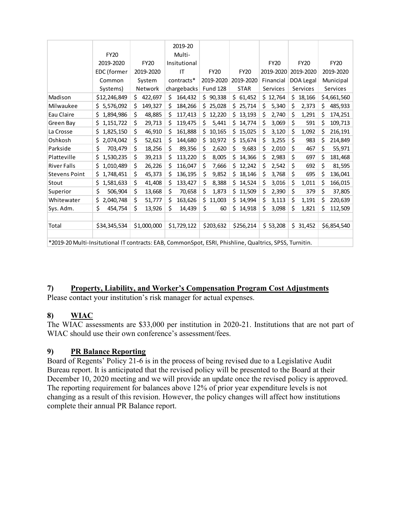|                                                                                                        |              |               | 2019-20        |                 |               |             |               |               |
|--------------------------------------------------------------------------------------------------------|--------------|---------------|----------------|-----------------|---------------|-------------|---------------|---------------|
|                                                                                                        | <b>FY20</b>  |               | Multi-         |                 |               |             |               |               |
|                                                                                                        | 2019-2020    | <b>FY20</b>   | Insitutional   |                 |               | <b>FY20</b> | <b>FY20</b>   | <b>FY20</b>   |
|                                                                                                        | EDC (former  | 2019-2020     | IT             | <b>FY20</b>     | <b>FY20</b>   | 2019-2020   | 2019-2020     | 2019-2020     |
|                                                                                                        | Common       | System        | contracts*     | 2019-2020       | 2019-2020     | Financial   | DOA Legal     | Municipal     |
|                                                                                                        | Systems)     | Network       | chargebacks    | <b>Fund 128</b> | <b>STAR</b>   | Services    | Services      | Services      |
| Madison                                                                                                | \$12,246,849 | \$<br>422,697 | \$.<br>164,432 | \$90,338        | \$.<br>61,452 | \$12,764    | \$.<br>18,166 | \$4,661,560   |
| Milwaukee                                                                                              | \$5,576,092  | Ś<br>149,327  | \$<br>184,266  | 25,028<br>S.    | Ś<br>25,714   | \$<br>5,340 | \$<br>2,373   | \$<br>485,933 |
| Eau Claire                                                                                             | \$           | \$            | \$             | \$              | Ś             | \$          | \$            | \$            |
|                                                                                                        | 1,894,986    | 48,885        | 117,413        | 12,220          | 13,193        | 2,740       | 1,291         | 174,251       |
| Green Bay                                                                                              | \$           | \$            | \$             | \$              | Ś             | \$          | \$            | \$            |
|                                                                                                        | 1,151,722    | 29,713        | 119,475        | 5,441           | 14,774        | 3,069       | 591           | 109,713       |
| La Crosse                                                                                              | 1,825,150    | \$            | \$             | \$.             | 15,025        | \$          | \$            | \$            |
|                                                                                                        | \$           | 46,910        | 161,888        | 10,165          | Ś.            | 3,120       | 1,092         | 216,191       |
| Oshkosh                                                                                                | \$           | \$            | \$             | \$              | \$            | \$          | \$            | \$            |
|                                                                                                        | 2,074,042    | 52,621        | 144,680        | 10,972          | 15,674        | 3,255       | 983           | 214,849       |
| Parkside                                                                                               | \$           | \$            | \$             | \$              | \$            | \$          | \$            | \$            |
|                                                                                                        | 703,479      | 18,256        | 89,356         | 2,620           | 9,683         | 2,010       | 467           | 55,971        |
| Platteville                                                                                            | \$           | \$            | \$             | \$              | \$            | \$          | \$            | \$            |
|                                                                                                        | 1,530,235    | 39,213        | 113,220        | 8,005           | 14,366        | 2,983       | 697           | 181,468       |
| <b>River Falls</b>                                                                                     | \$           | \$            | \$             | \$              | Ŝ.            | \$          | \$            | \$            |
|                                                                                                        | 1,010,489    | 26,226        | 116,047        | 7,666           | 12,242        | 2,542       | 692           | 81,595        |
| <b>Stevens Point</b>                                                                                   | 1,748,451    | \$            | \$             | \$              | Ś             | \$          | \$            | \$            |
|                                                                                                        | Ş            | 45,373        | 136,195        | 9,852           | 18,146        | 3,768       | 695           | 136,041       |
| Stout                                                                                                  | \$           | \$            | \$             | \$              | 14,524        | \$          | \$            | \$            |
|                                                                                                        | 1,581,633    | 41,408        | 133,427        | 8,388           | Ś             | 3,016       | 1,011         | 166,015       |
| Superior                                                                                               | \$           | \$            | \$             | \$              | Ś.            | \$          | \$            | \$            |
|                                                                                                        | 506,904      | 13,668        | 70,658         | 1,873           | 11,509        | 2,390       | 379           | 37,805        |
| Whitewater                                                                                             | \$           | \$            | \$             | \$              | Ś.            | \$          | \$            | \$            |
|                                                                                                        | 2,040,748    | 51,777        | 163,626        | 11,003          | 14,994        | 3,113       | 1,191         | 220,639       |
| Sys. Adm.                                                                                              | \$           | \$            | \$             | \$              | \$.           | \$          | \$            | \$            |
|                                                                                                        | 454,754      | 13,926        | 14,439         | 60              | 14,918        | 3,098       | 1,821         | 112,509       |
|                                                                                                        |              |               |                |                 |               |             |               |               |
| Total                                                                                                  | \$34,345,534 | \$1,000,000   | \$1,729,122    | \$203,632       | \$256,214     | \$53,208    | \$31,452      | \$6,854,540   |
|                                                                                                        |              |               |                |                 |               |             |               |               |
| *2019-20 Multi-Insitutional IT contracts: EAB, CommonSpot, ESRI, Phishline, Qualtrics, SPSS, Turnitin. |              |               |                |                 |               |             |               |               |

### **7) Property, Liability, and Worker's Compensation Program Cost Adjustments**

Please contact your institution's risk manager for actual expenses.

### **8) WIAC**

The WIAC assessments are \$33,000 per institution in 2020-21. Institutions that are not part of WIAC should use their own conference's assessment/fees.

### **9) PR Balance Reporting**

Board of Regents' Policy 21-6 is in the process of being revised due to a Legislative Audit Bureau report. It is anticipated that the revised policy will be presented to the Board at their December 10, 2020 meeting and we will provide an update once the revised policy is approved. The reporting requirement for balances above 12% of prior year expenditure levels is not changing as a result of this revision. However, the policy changes will affect how institutions complete their annual PR Balance report.